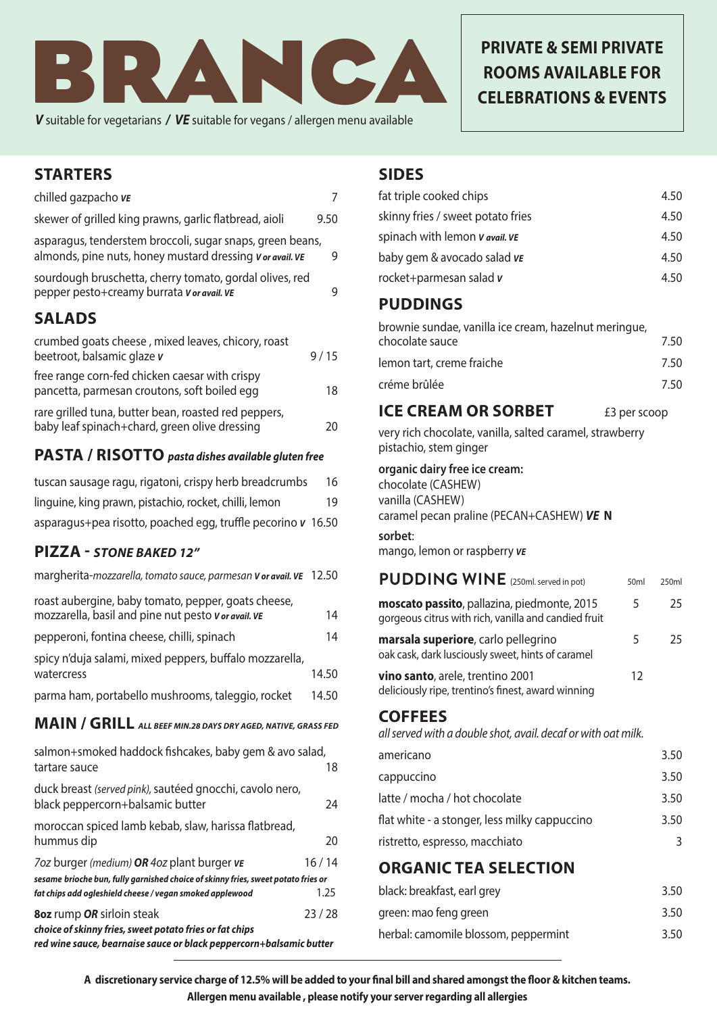

*V* suitable for vegetarians */ VE* suitable for vegans / allergen menu available

# **PRIVATE & SEMI PRIVATE ROOMS AVAILABLE FOR CELEBRATIONS & EVENTS**

### **STARTERS**

| chilled gazpacho ve                                                                                                    |      |
|------------------------------------------------------------------------------------------------------------------------|------|
| skewer of grilled king prawns, garlic flatbread, aioli                                                                 | 9.50 |
| asparagus, tenderstem broccoli, sugar snaps, green beans,<br>almonds, pine nuts, honey mustard dressing v or avail. VE | 9    |
| sourdough bruschetta, cherry tomato, gordal olives, red<br>pepper pesto+creamy burrata v or avail. VE                  | 9    |
| <b>SALADS</b>                                                                                                          |      |
| crumbed goats cheese, mixed leaves, chicory, roast<br>beetroot, balsamic glaze v                                       | 9/15 |
| free range corn-fed chicken caesar with crispy<br>pancetta, parmesan croutons, soft boiled egg                         | 18   |

| rare grilled tuna, butter bean, roasted red peppers, |    |
|------------------------------------------------------|----|
| baby leaf spinach+chard, green olive dressing        | 20 |

#### **PASTA / RISOTTO** *pasta dishes available gluten free*

| tuscan sausage ragu, rigatoni, crispy herb breadcrumbs       | 16 |
|--------------------------------------------------------------|----|
| linguine, king prawn, pistachio, rocket, chilli, lemon       | 19 |
| asparagus+pea risotto, poached egg, truffle pecorino v 16.50 |    |

### **PIZZA -** *STONE BAKED 12"*

| 8oz rump OR sirloin steak<br>choice of skinny fries, sweet potato fries or fat chips                      | 23/28 |
|-----------------------------------------------------------------------------------------------------------|-------|
| fat chips add ogleshield cheese / vegan smoked applewood                                                  | 1.25  |
| sesame brioche bun, fully garnished choice of skinny fries, sweet potato fries or                         |       |
| 7oz burger (medium) OR 4oz plant burger ve                                                                | 16/14 |
| moroccan spiced lamb kebab, slaw, harissa flatbread,<br>hummus dip                                        | 20    |
| duck breast (served pink), sautéed gnocchi, cavolo nero,<br>black peppercorn+balsamic butter              | 24    |
| salmon+smoked haddock fishcakes, baby gem & avo salad,<br>tartare sauce                                   | 18    |
| MAIN / GRILL ALL BEEF MIN.28 DAYS DRY AGED, NATIVE, GRASS FED                                             |       |
| parma ham, portabello mushrooms, taleggio, rocket                                                         | 14.50 |
| spicy n'duja salami, mixed peppers, buffalo mozzarella,<br>watercress                                     | 14.50 |
| pepperoni, fontina cheese, chilli, spinach                                                                | 14    |
| roast aubergine, baby tomato, pepper, goats cheese,<br>mozzarella, basil and pine nut pesto Vor avail. VE | 14    |
| margherita-mozzarella, tomato sauce, parmesan V or avail. VE                                              | 12.50 |

#### **SIDES**

| fat triple cooked chips           | 4.50 |
|-----------------------------------|------|
| skinny fries / sweet potato fries | 4.50 |
| spinach with lemon v avail. VE    | 4.50 |
| baby gem & avocado salad ve       | 4.50 |
| rocket+parmesan salad v           | 4.50 |
|                                   |      |

### **PUDDINGS**

| brownie sundae, vanilla ice cream, hazelnut meringue,<br>chocolate sauce | 7.50 |
|--------------------------------------------------------------------------|------|
| lemon tart, creme fraiche                                                | 7.50 |
| créme brûlée                                                             | 7.50 |

#### **ICE CREAM OR SORBET** £3 per scoop

very rich chocolate, vanilla, salted caramel, strawberry pistachio, stem ginger

#### **organic dairy free ice cream:**

chocolate (CASHEW) vanilla (CASHEW) caramel pecan praline (PECAN+CASHEW) *VE* **N** 

### **sorbet**:

mango, lemon or raspberry *VE*

# **PUDDING WINE** (250ml. served in pot) 50ml 250ml

| moscato passito, pallazina, piedmonte, 2015<br>gorgeous citrus with rich, vanilla and candied fruit | $\mathcal{L}$ | 25 |
|-----------------------------------------------------------------------------------------------------|---------------|----|
| marsala superiore, carlo pellegrino<br>oak cask, dark lusciously sweet, hints of caramel            | 5             | 25 |
| vino santo, arele, trentino 2001                                                                    | 1 ว           |    |

deliciously ripe, trentino's finest, award winning

### **COFFEES**

*all served with a double shot, avail. decaf or with oat milk.* 

| americano                                     | 3.50 |
|-----------------------------------------------|------|
| cappuccino                                    | 3.50 |
| latte / mocha / hot chocolate                 | 3.50 |
| flat white - a stonger, less milky cappuccino | 3.50 |
| ristretto, espresso, macchiato                | २    |
|                                               |      |

# **ORGANIC TEA SELECTION**

| black: breakfast, earl grey          | 3.50 |
|--------------------------------------|------|
| green: mao feng green                | 3.50 |
| herbal: camomile blossom, peppermint | 3.50 |

**A discretionary service charge of 12.5% will be added to your final bill and shared amongst the floor & kitchen teams. Allergen menu available , please notify your server regarding all allergies**